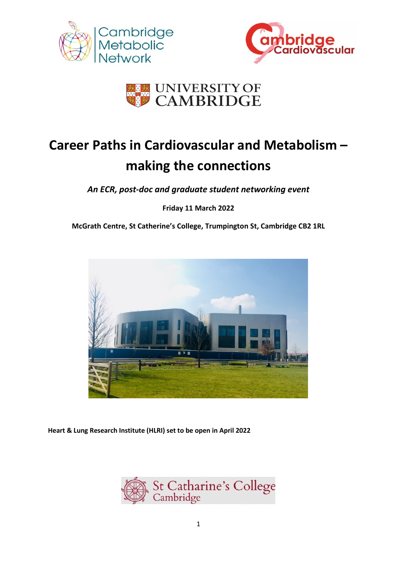





# **Career Paths in Cardiovascular and Metabolism – making the connections**

*An ECR, post-doc and graduate student networking event*

**Friday 11 March 2022**

**McGrath Centre, St Catherine's College, Trumpington St, Cambridge CB2 1RL**



**Heart & Lung Research Institute (HLRI) set to be open in April 2022**

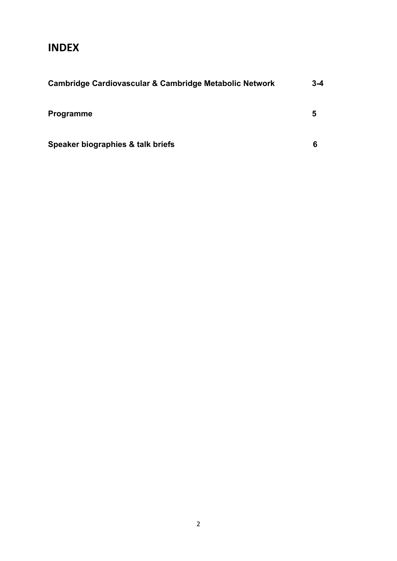# **INDEX**

| Cambridge Cardiovascular & Cambridge Metabolic Network | $3 - 4$ |
|--------------------------------------------------------|---------|
| <b>Programme</b>                                       | 5       |
| Speaker biographies & talk briefs                      | 6       |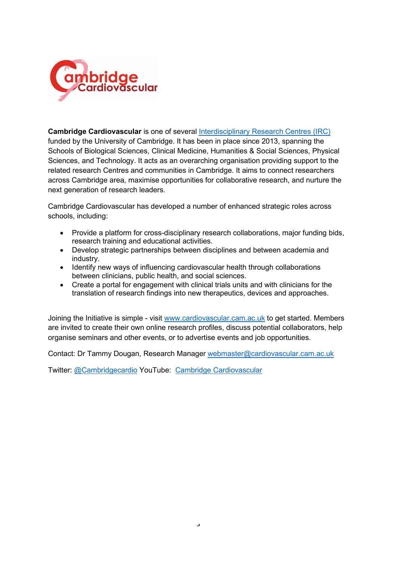

**Cambridge Cardiovascular** is one of several [Interdisciplinary Research Centres \(IRC\)](https://www.cam.ac.uk/research/research-at-cambridge/interdisciplinary-research-centres) funded by the University of Cambridge. It has been in place since 2013, spanning the Schools of Biological Sciences, Clinical Medicine, Humanities & Social Sciences, Physical Sciences, and Technology. It acts as an overarching organisation providing support to the related research Centres and communities in Cambridge. It aims to connect researchers across Cambridge area, maximise opportunities for collaborative research, and nurture the next generation of research leaders.

Cambridge Cardiovascular has developed a number of enhanced strategic roles across schools, including:

- Provide a platform for cross-disciplinary research collaborations, major funding bids, research training and educational activities.
- Develop strategic partnerships between disciplines and between academia and industry.
- Identify new ways of influencing cardiovascular health through collaborations between clinicians, public health, and social sciences.
- Create a portal for engagement with clinical trials units and with clinicians for the translation of research findings into new therapeutics, devices and approaches.

Joining the Initiative is simple - visit [www.cardiovascular.cam.ac.uk](http://www.cardiovascular.cam.ac.uk/) to get started. Members are invited to create their own online research profiles, discuss potential collaborators, help organise seminars and other events, or to advertise events and job opportunities.

Contact: Dr Tammy Dougan, Research Manager [webmaster@cardiovascular.cam.ac.uk](mailto:webmaster@cardiovascular.cam.ac.uk)

Twitter: [@Cambridgecardio](https://twitter.com/Cambridgecardio?ref_src=twsrc%5Etfw%7Ctwcamp%5Eembeddedtimeline%7Ctwterm%5Eprofile%3ACambridgecardio%7Ctwgr%5EeyJ0ZndfZXhwZXJpbWVudHNfY29va2llX2V4cGlyYXRpb24iOnsiYnVja2V0IjoxMjA5NjAwLCJ2ZXJzaW9uIjpudWxsfSwidGZ3X2hvcml6b25fdHdlZXRfZW1iZWRfOTU1NSI6eyJidWNrZXQiOiJodGUiLCJ2ZXJzaW9uIjpudWxsfSwidGZ3X3NwYWNlX2NhcmQiOnsiYnVja2V0Ijoib2ZmIiwidmVyc2lvbiI6bnVsbH19&ref_url=https%3A%2F%2Fwww.cardiovascular.cam.ac.uk%2Fresearch%2Fcardiosri) YouTube: [Cambridge Cardiovascular](https://www.youtube.com/channel/UCswwMRXuGF3LBYi_6BNOPGQ/videos)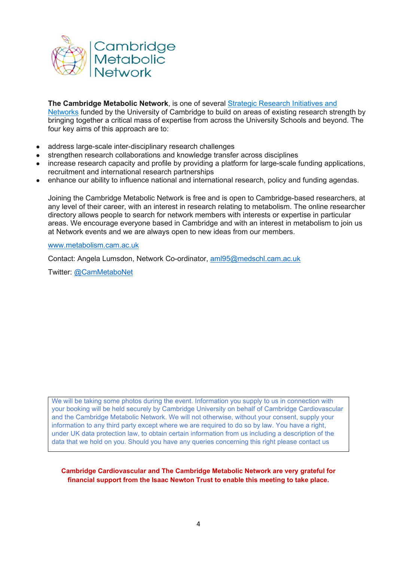

**The Cambridge Metabolic Network**, is one of several [Strategic Research Initiatives and](http://www.cam.ac.uk/research/research-at-cambridge/strategic-research-initiatives-networks)  [Networks](http://www.cam.ac.uk/research/research-at-cambridge/strategic-research-initiatives-networks) funded by the University of Cambridge to build on areas of existing research strength by bringing together a critical mass of expertise from across the University Schools and beyond. The four key aims of this approach are to:

- address large-scale inter-disciplinary research challenges
- strengthen research collaborations and knowledge transfer across disciplines
- increase research capacity and profile by providing a platform for large-scale funding applications, recruitment and international research partnerships
- enhance our ability to influence national and international research, policy and funding agendas.

Joining the Cambridge Metabolic Network is free and is open to Cambridge-based researchers, at any level of their career, with an interest in research relating to metabolism. The online researcher directory allows people to search for network members with interests or expertise in particular areas. We encourage everyone based in Cambridge and with an interest in metabolism to join us at Network events and we are always open to new ideas from our members.

[www.metabolism.cam.ac.uk](http://www.metabolism.cam.ac.uk/)

Contact: Angela Lumsdon, Network Co-ordinator, [aml95@medschl.cam.ac.uk](mailto:aml95@medschl.cam.ac.uk)

Twitter: [@CamMetaboNet](https://twitter.com/CamMetaboNet)

We will be taking some photos during the event. Information you supply to us in connection with your booking will be held securely by Cambridge University on behalf of Cambridge Cardiovascular and the Cambridge Metabolic Network. We will not otherwise, without your consent, supply your information to any third party except where we are required to do so by law. You have a right, under UK data protection law, to obtain certain information from us including a description of the data that we hold on you. Should you have any queries concerning this right please contact us

**Cambridge Cardiovascular and The Cambridge Metabolic Network are very grateful for financial support from the Isaac Newton Trust to enable this meeting to take place.**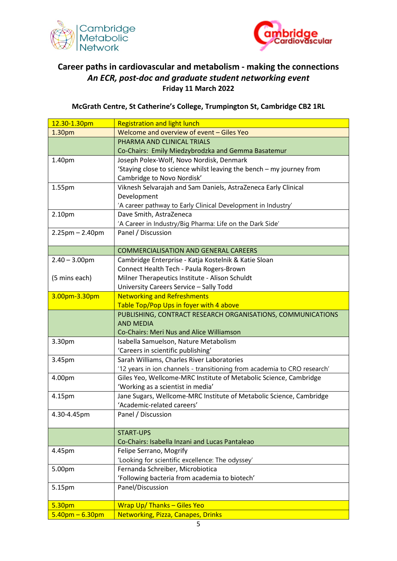



# **Career paths in cardiovascular and metabolism - making the connections** *An ECR, post-doc and graduate student networking event* **Friday 11 March 2022**

**McGrath Centre, St Catherine's College, Trumpington St, Cambridge CB2 1RL**

| 12.30-1.30pm          | <b>Registration and light lunch</b>                                      |
|-----------------------|--------------------------------------------------------------------------|
| 1.30pm                | Welcome and overview of event - Giles Yeo                                |
|                       | PHARMA AND CLINICAL TRIALS                                               |
|                       | Co-Chairs: Emily Miedzybrodzka and Gemma Basatemur                       |
| 1.40pm                | Joseph Polex-Wolf, Novo Nordisk, Denmark                                 |
|                       | 'Staying close to science whilst leaving the bench - my journey from     |
|                       | Cambridge to Novo Nordisk'                                               |
| 1.55pm                | Viknesh Selvarajah and Sam Daniels, AstraZeneca Early Clinical           |
|                       | Development                                                              |
|                       | 'A career pathway to Early Clinical Development in Industry'             |
| 2.10pm                | Dave Smith, AstraZeneca                                                  |
|                       | 'A Career in Industry/Big Pharma: Life on the Dark Side'                 |
| $2.25$ pm $- 2.40$ pm | Panel / Discussion                                                       |
|                       |                                                                          |
|                       | <b>COMMERCIALISATION AND GENERAL CAREERS</b>                             |
| $2.40 - 3.00$ pm      | Cambridge Enterprise - Katja Kostelnik & Katie Sloan                     |
|                       | Connect Health Tech - Paula Rogers-Brown                                 |
| (5 mins each)         | Milner Therapeutics Institute - Alison Schuldt                           |
|                       | University Careers Service - Sally Todd                                  |
| 3.00pm-3.30pm         | <b>Networking and Refreshments</b>                                       |
|                       | Table Top/Pop Ups in foyer with 4 above                                  |
|                       | PUBLISHING, CONTRACT RESEARCH ORGANISATIONS, COMMUNICATIONS              |
|                       | <b>AND MEDIA</b>                                                         |
|                       | Co-Chairs: Meri Nus and Alice Williamson                                 |
| 3.30pm                | Isabella Samuelson, Nature Metabolism                                    |
|                       | 'Careers in scientific publishing'                                       |
| 3.45pm                | Sarah Williams, Charles River Laboratories                               |
|                       | '12 years in ion channels - transitioning from academia to CRO research' |
| 4.00pm                | Giles Yeo, Wellcome-MRC Institute of Metabolic Science, Cambridge        |
|                       | 'Working as a scientist in media'                                        |
| 4.15pm                | Jane Sugars, Wellcome-MRC Institute of Metabolic Science, Cambridge      |
|                       | 'Academic-related careers'                                               |
| 4.30-4.45pm           | Panel / Discussion                                                       |
|                       | <b>START-UPS</b>                                                         |
|                       | Co-Chairs: Isabella Inzani and Lucas Pantaleao                           |
| 4.45pm                | Felipe Serrano, Mogrify                                                  |
|                       | 'Looking for scientific excellence: The odyssey'                         |
| 5.00pm                | Fernanda Schreiber, Microbiotica                                         |
|                       | 'Following bacteria from academia to biotech'                            |
| 5.15pm                | Panel/Discussion                                                         |
|                       |                                                                          |
| 5.30pm                | <b>Wrap Up/ Thanks - Giles Yeo</b>                                       |
| $5.40$ pm $- 6.30$ pm | <b>Networking, Pizza, Canapes, Drinks</b>                                |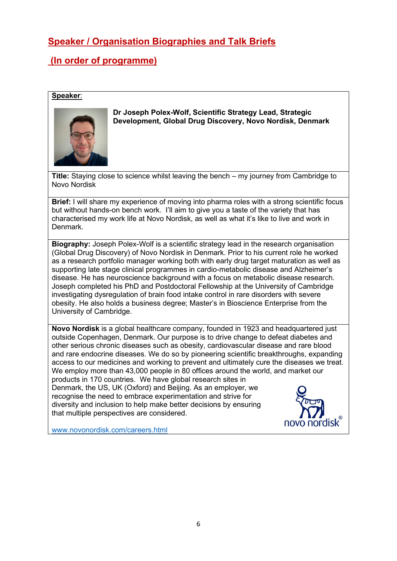# **Speaker / Organisation Biographies and Talk Briefs**

# **(In order of programme)**

#### **Speaker**:



#### **Dr Joseph Polex-Wolf, Scientific Strategy Lead, Strategic Development, Global Drug Discovery, Novo Nordisk, Denmark**

**Title:** Staying close to science whilst leaving the bench – my journey from Cambridge to Novo Nordisk

**Brief:** I will share my experience of moving into pharma roles with a strong scientific focus but without hands-on bench work. I'll aim to give you a taste of the variety that has characterised my work life at Novo Nordisk, as well as what it's like to live and work in Denmark.

**Biography:** Joseph Polex-Wolf is a scientific strategy lead in the research organisation (Global Drug Discovery) of Novo Nordisk in Denmark. Prior to his current role he worked as a research portfolio manager working both with early drug target maturation as well as supporting late stage clinical programmes in cardio-metabolic disease and Alzheimer's disease. He has neuroscience background with a focus on metabolic disease research. Joseph completed his PhD and Postdoctoral Fellowship at the University of Cambridge investigating dysregulation of brain food intake control in rare disorders with severe obesity. He also holds a business degree; Master's in Bioscience Enterprise from the University of Cambridge.

**Novo Nordisk** is a global healthcare company, founded in 1923 and headquartered just outside Copenhagen, Denmark. Our purpose is to drive change to defeat diabetes and other serious chronic diseases such as obesity, cardiovascular disease and rare blood and rare endocrine diseases. We do so by pioneering scientific breakthroughs, expanding access to our medicines and working to prevent and ultimately cure the diseases we treat. We employ more than 43,000 people in 80 offices around the world, and market our products in 170 countries. We have global research sites in Denmark, the US, UK (Oxford) and Beijing. As an employer, we recognise the need to embrace experimentation and strive for diversity and inclusion to help make better decisions by ensuring that multiple perspectives are considered.



[www.novonordisk.com/careers.html](http://www.novonordisk.com/careers.html)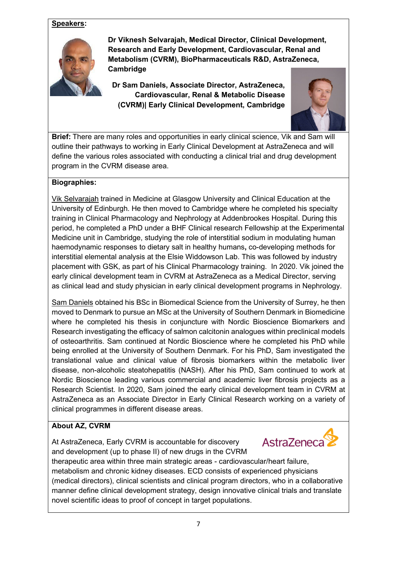

**Dr Viknesh Selvarajah, Medical Director, Clinical Development, Research and Early Development, Cardiovascular, Renal and Metabolism (CVRM), BioPharmaceuticals R&D, AstraZeneca, Cambridge**

**Dr Sam Daniels, Associate Director, AstraZeneca, Cardiovascular, Renal & Metabolic Disease (CVRM)| Early Clinical Development, Cambridge**



**Brief:** There are many roles and opportunities in early clinical science, Vik and Sam will outline their pathways to working in Early Clinical Development at AstraZeneca and will define the various roles associated with conducting a clinical trial and drug development program in the CVRM disease area.

#### **Biographies:**

Vik Selvarajah trained in Medicine at Glasgow University and Clinical Education at the University of Edinburgh. He then moved to Cambridge where he completed his specialty training in Clinical Pharmacology and Nephrology at Addenbrookes Hospital. During this period, he completed a PhD under a BHF Clinical research Fellowship at the Experimental Medicine unit in Cambridge, studying the role of interstitial sodium in modulating human haemodynamic responses to dietary salt in healthy humans**,** co-developing methods for interstitial elemental analysis at the Elsie Widdowson Lab. This was followed by industry placement with GSK, as part of his Clinical Pharmacology training. In 2020. Vik joined the early clinical development team in CVRM at AstraZeneca as a Medical Director, serving as clinical lead and study physician in early clinical development programs in Nephrology.

Sam Daniels obtained his BSc in Biomedical Science from the University of Surrey, he then moved to Denmark to pursue an MSc at the University of Southern Denmark in Biomedicine where he completed his thesis in conjuncture with Nordic Bioscience Biomarkers and Research investigating the efficacy of salmon calcitonin analogues within preclinical models of osteoarthritis. Sam continued at Nordic Bioscience where he completed his PhD while being enrolled at the University of Southern Denmark. For his PhD, Sam investigated the translational value and clinical value of fibrosis biomarkers within the metabolic liver disease, non-alcoholic steatohepatitis (NASH). After his PhD, Sam continued to work at Nordic Bioscience leading various commercial and academic liver fibrosis projects as a Research Scientist. In 2020, Sam joined the early clinical development team in CVRM at AstraZeneca as an Associate Director in Early Clinical Research working on a variety of clinical programmes in different disease areas.

### **About AZ, CVRM**

At AstraZeneca, Early CVRM is accountable for discovery and development (up to phase II) of new drugs in the CVRM



therapeutic area within three main strategic areas - cardiovascular/heart failure, metabolism and chronic kidney diseases. ECD consists of experienced physicians (medical directors), clinical scientists and clinical program directors, who in a collaborative manner define clinical development strategy, design innovative clinical trials and translate novel scientific ideas to proof of concept in target populations.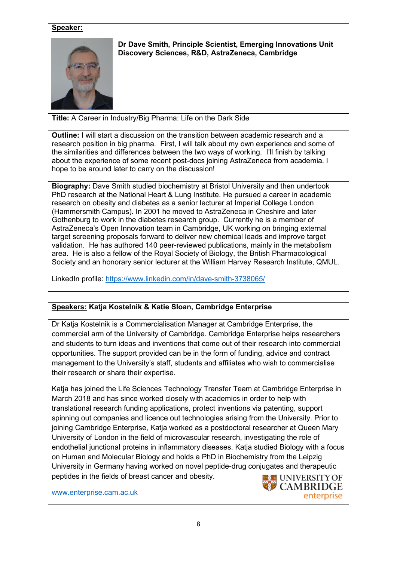

**Dr Dave Smith, Principle Scientist, Emerging Innovations Unit Discovery Sciences, R&D, AstraZeneca, Cambridge**

**Title:** A Career in Industry/Big Pharma: Life on the Dark Side

**Outline:** I will start a discussion on the transition between academic research and a research position in big pharma. First, I will talk about my own experience and some of the similarities and differences between the two ways of working. I'll finish by talking about the experience of some recent post-docs joining AstraZeneca from academia. I hope to be around later to carry on the discussion!

**Biography:** Dave Smith studied biochemistry at Bristol University and then undertook PhD research at the National Heart & Lung Institute. He pursued a career in academic research on obesity and diabetes as a senior lecturer at Imperial College London (Hammersmith Campus). In 2001 he moved to AstraZeneca in Cheshire and later Gothenburg to work in the diabetes research group. Currently he is a member of AstraZeneca's Open Innovation team in Cambridge, UK working on bringing external target screening proposals forward to deliver new chemical leads and improve target validation. He has authored 140 peer-reviewed publications, mainly in the metabolism area. He is also a fellow of the Royal Society of Biology, the British Pharmacological Society and an honorary senior lecturer at the William Harvey Research Institute, QMUL.

LinkedIn profile: <https://www.linkedin.com/in/dave-smith-3738065/>

#### **Speakers: Katja Kostelnik & Katie Sloan, Cambridge Enterprise**

Dr Katja Kostelnik is a Commercialisation Manager at Cambridge Enterprise, the commercial arm of the University of Cambridge. Cambridge Enterprise helps researchers and students to turn ideas and inventions that come out of their research into commercial opportunities. The support provided can be in the form of funding, advice and contract management to the University's staff, students and affiliates who wish to commercialise their research or share their expertise.

Katja has joined the Life Sciences Technology Transfer Team at Cambridge Enterprise in March 2018 and has since worked closely with academics in order to help with translational research funding applications, protect inventions via patenting, support spinning out companies and licence out technologies arising from the University. Prior to joining Cambridge Enterprise, Katja worked as a postdoctoral researcher at Queen Mary University of London in the field of microvascular research, investigating the role of endothelial junctional proteins in inflammatory diseases. Katja studied Biology with a focus on Human and Molecular Biology and holds a PhD in Biochemistry from the Leipzig University in Germany having worked on novel peptide-drug conjugates and therapeutic peptides in the fields of breast cancer and obesity.

[www.enterprise.cam.ac.uk](http://www.enterprise.cam.ac.uk/)

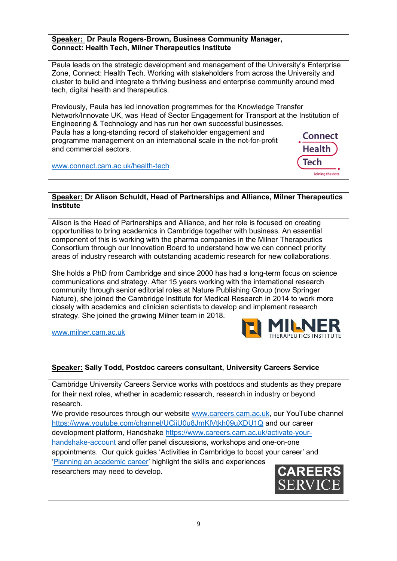#### **Speaker: Dr Paula Rogers-Brown, Business Community Manager, Connect: Health Tech, Milner Therapeutics Institute**

Paula leads on the strategic development and management of the University's Enterprise Zone, Connect: Health Tech. Working with stakeholders from across the University and cluster to build and integrate a thriving business and enterprise community around med tech, digital health and therapeutics.

Previously, Paula has led innovation programmes for the Knowledge Transfer Network/Innovate UK, was Head of Sector Engagement for Transport at the Institution of Engineering & Technology and has run her own successful businesses. Paula has a long-standing record of stakeholder engagement and **Connect** programme management on an international scale in the not-for-profit **Health** and commercial sectors.

[www.connect.cam.ac.uk/health-tech](http://www.connect.cam.ac.uk/health-tech)

#### **Speaker: Dr Alison Schuldt, Head of Partnerships and Alliance, Milner Therapeutics Institute**

Alison is the Head of Partnerships and Alliance, and her role is focused on creating opportunities to bring academics in Cambridge together with business. An essential component of this is working with the pharma companies in the Milner Therapeutics Consortium through our Innovation Board to understand how we can connect priority areas of industry research with outstanding academic research for new collaborations.

She holds a PhD from Cambridge and since 2000 has had a long-term focus on science communications and strategy. After 15 years working with the international research community through senior editorial roles at Nature Publishing Group (now Springer Nature), she joined the Cambridge Institute for Medical Research in 2014 to work more closely with academics and clinician scientists to develop and implement research strategy. She joined the growing Milner team in 2018.

[www.milner.cam.ac.uk](http://www.milner.cam.ac.uk/)

## **Speaker: Sally Todd, Postdoc careers consultant, University Careers Service**

Cambridge University Careers Service works with postdocs and students as they prepare for their next roles, whether in academic research, research in industry or beyond research.

We provide resources through our website [www.careers.cam.ac.uk,](http://www.careers.cam.ac.uk/) our YouTube channel <https://www.youtube.com/channel/UCiiU0u8JmKlVtkh09uXDU1Q> and our career development platform, Handshake [https://www.careers.cam.ac.uk/activate-your](https://www.careers.cam.ac.uk/activate-your-handshake-account)[handshake-account](https://www.careers.cam.ac.uk/activate-your-handshake-account) and offer panel discussions, workshops and one-on-one appointments. Our quick guides 'Activities in Cambridge to boost your career' and ['Planning an academic career'](https://cam.joinhandshake.co.uk/attachments/2672/download?token=T1MDIaEo4qQVWZlZlORWYKCL4uQWECQN6s1tHim6-pHQKDZ5YrdKBg) highlight the skills and experiences researchers may need to develop.



Tech

Joining the dot: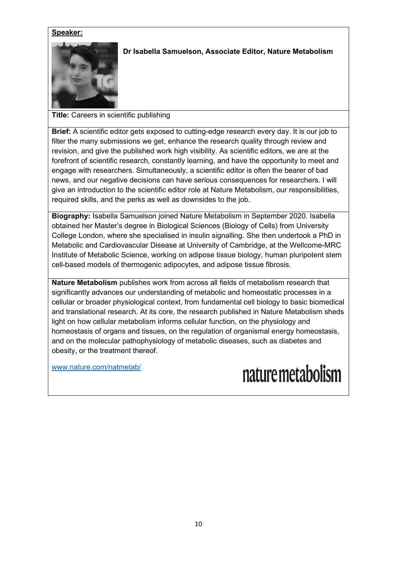

### **Dr Isabella Samuelson, Associate Editor, Nature Metabolism**

**Title:** Careers in scientific publishing

**Brief:** A scientific editor gets exposed to cutting-edge research every day. It is our job to filter the many submissions we get, enhance the research quality through review and revision, and give the published work high visibility. As scientific editors, we are at the forefront of scientific research, constantly learning, and have the opportunity to meet and engage with researchers. Simultaneously, a scientific editor is often the bearer of bad news, and our negative decisions can have serious consequences for researchers. I will give an introduction to the scientific editor role at Nature Metabolism, our responsibilities, required skills, and the perks as well as downsides to the job.

**Biography:** Isabella Samuelson joined Nature Metabolism in September 2020. Isabella obtained her Master's degree in Biological Sciences (Biology of Cells) from University College London, where she specialised in insulin signalling. She then undertook a PhD in Metabolic and Cardiovascular Disease at University of Cambridge, at the Wellcome-MRC Institute of Metabolic Science, working on adipose tissue biology, human pluripotent stem cell-based models of thermogenic adipocytes, and adipose tissue fibrosis.

**Nature Metabolism** publishes work from across all fields of metabolism research that significantly advances our understanding of metabolic and homeostatic processes in a cellular or broader physiological context, from fundamental cell biology to basic biomedical and translational research. At its core, the research published in Nature Metabolism sheds light on how cellular metabolism informs cellular function, on the physiology and homeostasis of organs and tissues, on the regulation of organismal energy homeostasis, and on the molecular pathophysiology of metabolic diseases, such as diabetes and obesity, or the treatment thereof.

[www.nature.com/natmetab/](http://www.nature.com/natmetab/)

nature metabolism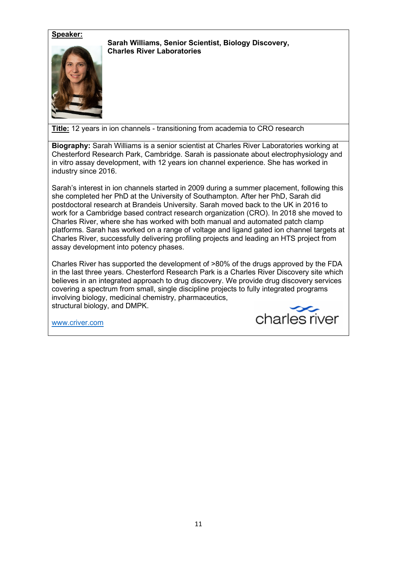**Sarah Williams, Senior Scientist, Biology Discovery, Charles River Laboratories**



**Title:** 12 years in ion channels - transitioning from academia to CRO research

**Biography:** Sarah Williams is a senior scientist at Charles River Laboratories working at Chesterford Research Park, Cambridge. Sarah is passionate about electrophysiology and in vitro assay development, with 12 years ion channel experience. She has worked in industry since 2016.

Sarah's interest in ion channels started in 2009 during a summer placement, following this she completed her PhD at the University of Southampton. After her PhD, Sarah did postdoctoral research at Brandeis University. Sarah moved back to the UK in 2016 to work for a Cambridge based contract research organization (CRO). In 2018 she moved to Charles River, where she has worked with both manual and automated patch clamp platforms. Sarah has worked on a range of voltage and ligand gated ion channel targets at Charles River, successfully delivering profiling projects and leading an HTS project from assay development into potency phases.

Charles River has supported the development of >80% of the drugs approved by the FDA in the last three years. Chesterford Research Park is a Charles River Discovery site which believes in an integrated approach to drug discovery. We provide drug discovery services covering a spectrum from small, single discipline projects to fully integrated programs involving biology, medicinal chemistry, pharmaceutics, structural biology, and DMPK.

[www.criver.com](http://www.criver.com/)

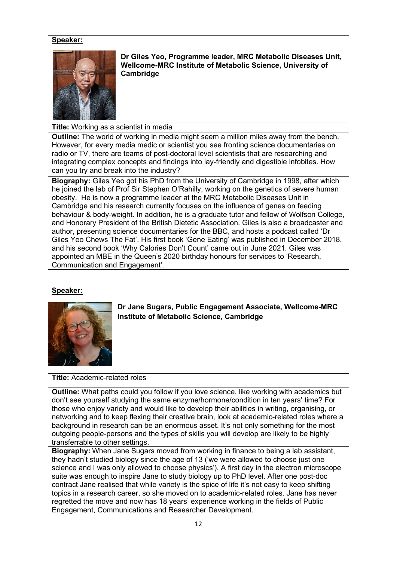

**Dr Giles Yeo, Programme leader, MRC Metabolic Diseases Unit, Wellcome-MRC Institute of Metabolic Science, University of Cambridge**

**Title:** Working as a scientist in media

**Outline:** The world of working in media might seem a million miles away from the bench. However, for every media medic or scientist you see fronting science documentaries on radio or TV, there are teams of post-doctoral level scientists that are researching and integrating complex concepts and findings into lay-friendly and digestible infobites. How can you try and break into the industry?

**Biography:** Giles Yeo got his PhD from the University of Cambridge in 1998, after which he joined the lab of Prof Sir Stephen O'Rahilly, working on the genetics of severe human obesity. He is now a programme leader at the MRC Metabolic Diseases Unit in Cambridge and his research currently focuses on the influence of genes on feeding behaviour & body-weight. In addition, he is a graduate tutor and fellow of Wolfson College, and Honorary President of the British Dietetic Association. Giles is also a broadcaster and author, presenting science documentaries for the BBC, and hosts a podcast called 'Dr Giles Yeo Chews The Fat'. His first book 'Gene Eating' was published in December 2018, and his second book 'Why Calories Don't Count' came out in June 2021. Giles was appointed an MBE in the Queen's 2020 birthday honours for services to 'Research, Communication and Engagement'.

#### **Speaker:**



**Dr Jane Sugars, Public Engagement Associate, Wellcome-MRC Institute of Metabolic Science, Cambridge**

**Title:** Academic-related roles

**Outline:** What paths could you follow if you love science, like working with academics but don't see yourself studying the same enzyme/hormone/condition in ten years' time? For those who enjoy variety and would like to develop their abilities in writing, organising, or networking and to keep flexing their creative brain, look at academic-related roles where a background in research can be an enormous asset. It's not only something for the most outgoing people-persons and the types of skills you will develop are likely to be highly transferrable to other settings.

**Biography:** When Jane Sugars moved from working in finance to being a lab assistant, they hadn't studied biology since the age of 13 ('we were allowed to choose just one science and I was only allowed to choose physics'). A first day in the electron microscope suite was enough to inspire Jane to study biology up to PhD level. After one post-doc contract Jane realised that while variety is the spice of life it's not easy to keep shifting topics in a research career, so she moved on to academic-related roles. Jane has never regretted the move and now has 18 years' experience working in the fields of Public Engagement, Communications and Researcher Development.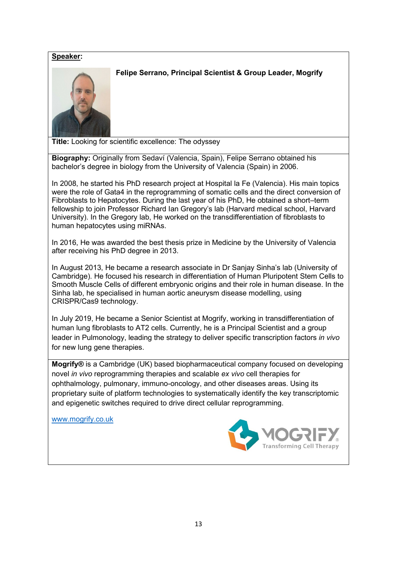

**Felipe Serrano, Principal Scientist & Group Leader, Mogrify**

**Title:** Looking for scientific excellence: The odyssey

**Biography:** Originally from Sedaví (Valencia, Spain), Felipe Serrano obtained his bachelor's degree in biology from the University of Valencia (Spain) in 2006.

In 2008, he started his PhD research project at Hospital la Fe (Valencia). His main topics were the role of Gata4 in the reprogramming of somatic cells and the direct conversion of Fibroblasts to Hepatocytes. During the last year of his PhD, He obtained a short–term fellowship to join Professor Richard Ian Gregory's lab (Harvard medical school, Harvard University). In the Gregory lab, He worked on the transdifferentiation of fibroblasts to human hepatocytes using miRNAs.

In 2016, He was awarded the best thesis prize in Medicine by the University of Valencia after receiving his PhD degree in 2013.

In August 2013, He became a research associate in Dr Sanjay Sinha's lab (University of Cambridge). He focused his research in differentiation of Human Pluripotent Stem Cells to Smooth Muscle Cells of different embryonic origins and their role in human disease. In the Sinha lab, he specialised in human aortic aneurysm disease modelling, using CRISPR/Cas9 technology.

In July 2019, He became a Senior Scientist at Mogrify, working in transdifferentiation of human lung fibroblasts to AT2 cells. Currently, he is a Principal Scientist and a group leader in Pulmonology, leading the strategy to deliver specific transcription factors *in vivo* for new lung gene therapies.

**Mogrify®** is a Cambridge (UK) based biopharmaceutical company focused on developing novel *in vivo* reprogramming therapies and scalable *ex vivo* cell therapies for ophthalmology, pulmonary, immuno-oncology, and other diseases areas. Using its proprietary suite of platform technologies to systematically identify the key transcriptomic and epigenetic switches required to drive direct cellular reprogramming.

[www.mogrify.co.uk](http://www.mogrify.co.uk/)

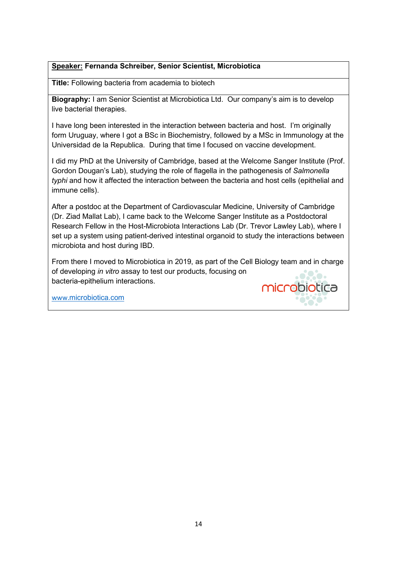#### **Speaker: Fernanda Schreiber, Senior Scientist, Microbiotica**

**Title:** Following bacteria from academia to biotech

**Biography:** I am Senior Scientist at Microbiotica Ltd. Our company's aim is to develop live bacterial therapies.

I have long been interested in the interaction between bacteria and host. I'm originally form Uruguay, where I got a BSc in Biochemistry, followed by a MSc in Immunology at the Universidad de la Republica. During that time I focused on vaccine development.

I did my PhD at the University of Cambridge, based at the Welcome Sanger Institute (Prof. Gordon Dougan's Lab), studying the role of flagella in the pathogenesis of *Salmonella typhi* and how it affected the interaction between the bacteria and host cells (epithelial and immune cells).

After a postdoc at the Department of Cardiovascular Medicine, University of Cambridge (Dr. Ziad Mallat Lab), I came back to the Welcome Sanger Institute as a Postdoctoral Research Fellow in the Host-Microbiota Interactions Lab (Dr. Trevor Lawley Lab), where I set up a system using patient-derived intestinal organoid to study the interactions between microbiota and host during IBD.

From there I moved to Microbiotica in 2019, as part of the Cell Biology team and in charge of developing *in vitro* assay to test our products, focusing on bacteria-epithelium interactions. microbiotica

[www.](http://www.microbiotica.com/)[microbiotica.com](http://www.microbiotica.com/)